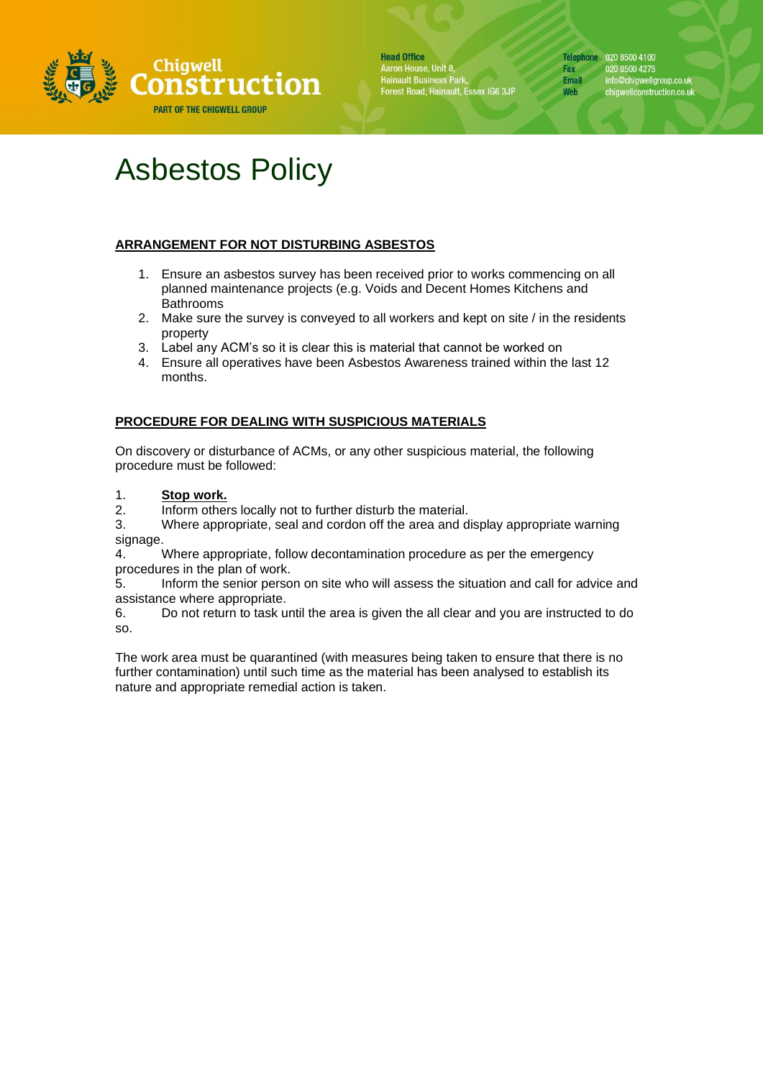

**Head Office** Aaron House, Unit 8,<br>Hainault Business Park,<br>Forest Road, Hainault, Essex IG6 3JP Telephone 020 8500 4100 020 8500 4275 Fax info@chigwellgroup.co.uk<br>chigwellconstruction.co.uk **Email** Web

# Asbestos Policy

# **ARRANGEMENT FOR NOT DISTURBING ASBESTOS**

- 1. Ensure an asbestos survey has been received prior to works commencing on all planned maintenance projects (e.g. Voids and Decent Homes Kitchens and Bathrooms
- 2. Make sure the survey is conveyed to all workers and kept on site / in the residents property
- 3. Label any ACM's so it is clear this is material that cannot be worked on
- 4. Ensure all operatives have been Asbestos Awareness trained within the last 12 months.

# **PROCEDURE FOR DEALING WITH SUSPICIOUS MATERIALS**

On discovery or disturbance of ACMs, or any other suspicious material, the following procedure must be followed:

1. **Stop work.**

2. Inform others locally not to further disturb the material.

3. Where appropriate, seal and cordon off the area and display appropriate warning signage.

4. Where appropriate, follow decontamination procedure as per the emergency procedures in the plan of work.

5. Inform the senior person on site who will assess the situation and call for advice and assistance where appropriate.

6. Do not return to task until the area is given the all clear and you are instructed to do so.

The work area must be quarantined (with measures being taken to ensure that there is no further contamination) until such time as the material has been analysed to establish its nature and appropriate remedial action is taken.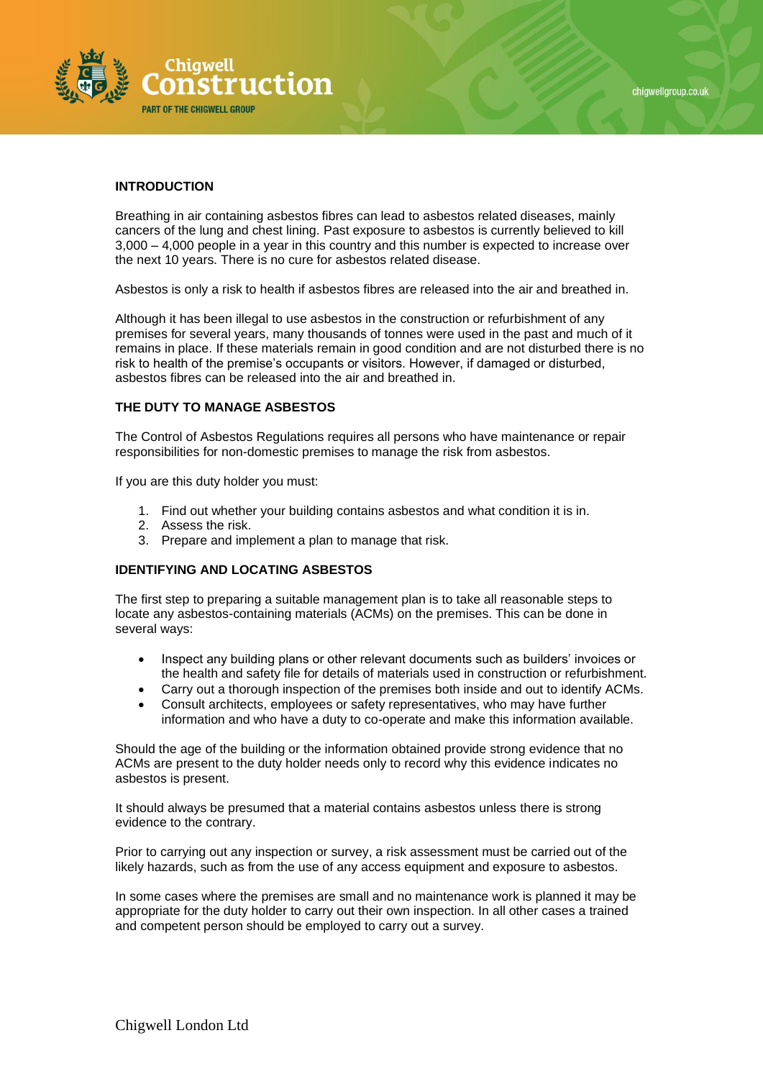

## **INTRODUCTION**

Breathing in air containing asbestos fibres can lead to asbestos related diseases, mainly cancers of the lung and chest lining. Past exposure to asbestos is currently believed to kill 3,000 – 4,000 people in a year in this country and this number is expected to increase over the next 10 years. There is no cure for asbestos related disease.

Asbestos is only a risk to health if asbestos fibres are released into the air and breathed in.

Although it has been illegal to use asbestos in the construction or refurbishment of any premises for several years, many thousands of tonnes were used in the past and much of it remains in place. If these materials remain in good condition and are not disturbed there is no risk to health of the premise's occupants or visitors. However, if damaged or disturbed, asbestos fibres can be released into the air and breathed in.

#### **THE DUTY TO MANAGE ASBESTOS**

The Control of Asbestos Regulations requires all persons who have maintenance or repair responsibilities for non-domestic premises to manage the risk from asbestos.

If you are this duty holder you must:

- 1. Find out whether your building contains asbestos and what condition it is in.
- 2. Assess the risk.
- 3. Prepare and implement a plan to manage that risk.

## **IDENTIFYING AND LOCATING ASBESTOS**

The first step to preparing a suitable management plan is to take all reasonable steps to locate any asbestos-containing materials (ACMs) on the premises. This can be done in several ways:

- Inspect any building plans or other relevant documents such as builders' invoices or the health and safety file for details of materials used in construction or refurbishment.
- Carry out a thorough inspection of the premises both inside and out to identify ACMs.
- Consult architects, employees or safety representatives, who may have further information and who have a duty to co-operate and make this information available.

Should the age of the building or the information obtained provide strong evidence that no ACMs are present to the duty holder needs only to record why this evidence indicates no asbestos is present.

It should always be presumed that a material contains asbestos unless there is strong evidence to the contrary.

Prior to carrying out any inspection or survey, a risk assessment must be carried out of the likely hazards, such as from the use of any access equipment and exposure to asbestos.

In some cases where the premises are small and no maintenance work is planned it may be appropriate for the duty holder to carry out their own inspection. In all other cases a trained and competent person should be employed to carry out a survey.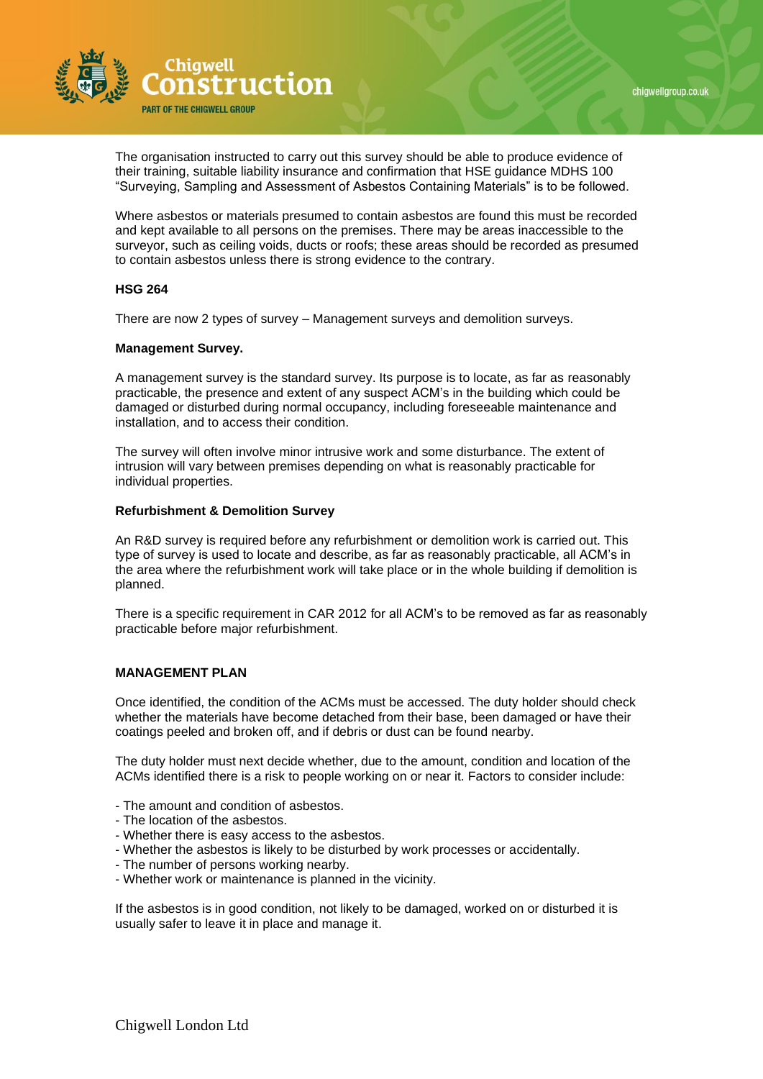



The organisation instructed to carry out this survey should be able to produce evidence of their training, suitable liability insurance and confirmation that HSE guidance MDHS 100 "Surveying, Sampling and Assessment of Asbestos Containing Materials" is to be followed.

Where asbestos or materials presumed to contain asbestos are found this must be recorded and kept available to all persons on the premises. There may be areas inaccessible to the surveyor, such as ceiling voids, ducts or roofs; these areas should be recorded as presumed to contain asbestos unless there is strong evidence to the contrary.

## **HSG 264**

There are now 2 types of survey – Management surveys and demolition surveys.

#### **Management Survey.**

A management survey is the standard survey. Its purpose is to locate, as far as reasonably practicable, the presence and extent of any suspect ACM's in the building which could be damaged or disturbed during normal occupancy, including foreseeable maintenance and installation, and to access their condition.

The survey will often involve minor intrusive work and some disturbance. The extent of intrusion will vary between premises depending on what is reasonably practicable for individual properties.

#### **Refurbishment & Demolition Survey**

An R&D survey is required before any refurbishment or demolition work is carried out. This type of survey is used to locate and describe, as far as reasonably practicable, all ACM's in the area where the refurbishment work will take place or in the whole building if demolition is planned.

There is a specific requirement in CAR 2012 for all ACM's to be removed as far as reasonably practicable before major refurbishment.

#### **MANAGEMENT PLAN**

Once identified, the condition of the ACMs must be accessed. The duty holder should check whether the materials have become detached from their base, been damaged or have their coatings peeled and broken off, and if debris or dust can be found nearby.

The duty holder must next decide whether, due to the amount, condition and location of the ACMs identified there is a risk to people working on or near it. Factors to consider include:

- The amount and condition of asbestos.
- The location of the asbestos.
- Whether there is easy access to the asbestos.
- Whether the asbestos is likely to be disturbed by work processes or accidentally.
- The number of persons working nearby.
- Whether work or maintenance is planned in the vicinity.

If the asbestos is in good condition, not likely to be damaged, worked on or disturbed it is usually safer to leave it in place and manage it.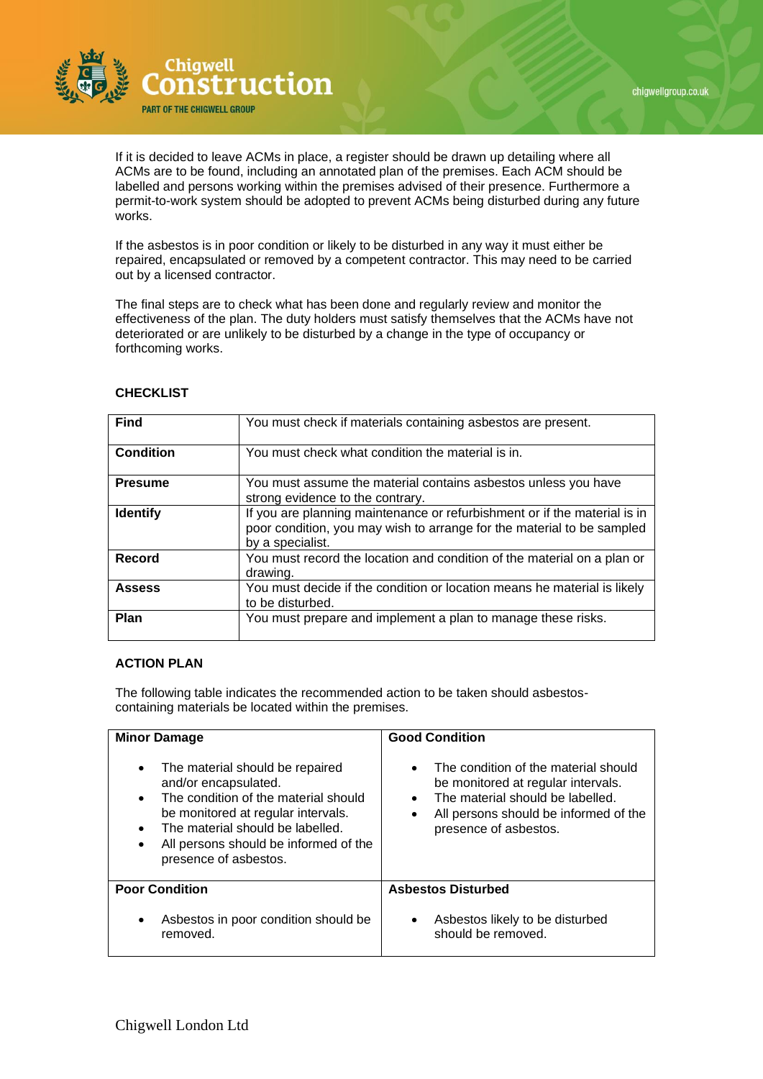

If it is decided to leave ACMs in place, a register should be drawn up detailing where all ACMs are to be found, including an annotated plan of the premises. Each ACM should be labelled and persons working within the premises advised of their presence. Furthermore a permit-to-work system should be adopted to prevent ACMs being disturbed during any future works.

If the asbestos is in poor condition or likely to be disturbed in any way it must either be repaired, encapsulated or removed by a competent contractor. This may need to be carried out by a licensed contractor.

The final steps are to check what has been done and regularly review and monitor the effectiveness of the plan. The duty holders must satisfy themselves that the ACMs have not deteriorated or are unlikely to be disturbed by a change in the type of occupancy or forthcoming works.

| <b>Find</b>      | You must check if materials containing asbestos are present.                                                                                                            |
|------------------|-------------------------------------------------------------------------------------------------------------------------------------------------------------------------|
| <b>Condition</b> | You must check what condition the material is in.                                                                                                                       |
| <b>Presume</b>   | You must assume the material contains asbestos unless you have<br>strong evidence to the contrary.                                                                      |
| <b>Identify</b>  | If you are planning maintenance or refurbishment or if the material is in<br>poor condition, you may wish to arrange for the material to be sampled<br>by a specialist. |
| Record           | You must record the location and condition of the material on a plan or<br>drawing.                                                                                     |
| <b>Assess</b>    | You must decide if the condition or location means he material is likely<br>to be disturbed.                                                                            |
| Plan             | You must prepare and implement a plan to manage these risks.                                                                                                            |

# **CHECKLIST**

# **ACTION PLAN**

The following table indicates the recommended action to be taken should asbestoscontaining materials be located within the premises.

| <b>Minor Damage</b><br>The material should be repaired<br>$\bullet$<br>and/or encapsulated.<br>The condition of the material should<br>$\bullet$<br>be monitored at regular intervals.<br>The material should be labelled.<br>$\bullet$<br>All persons should be informed of the<br>$\bullet$<br>presence of asbestos. | <b>Good Condition</b><br>The condition of the material should<br>$\bullet$<br>be monitored at regular intervals.<br>The material should be labelled.<br>$\bullet$<br>All persons should be informed of the<br>$\bullet$<br>presence of asbestos. |  |
|------------------------------------------------------------------------------------------------------------------------------------------------------------------------------------------------------------------------------------------------------------------------------------------------------------------------|--------------------------------------------------------------------------------------------------------------------------------------------------------------------------------------------------------------------------------------------------|--|
| <b>Poor Condition</b>                                                                                                                                                                                                                                                                                                  | <b>Asbestos Disturbed</b>                                                                                                                                                                                                                        |  |
| Asbestos in poor condition should be<br>$\bullet$<br>removed.                                                                                                                                                                                                                                                          | Asbestos likely to be disturbed<br>$\bullet$<br>should be removed.                                                                                                                                                                               |  |